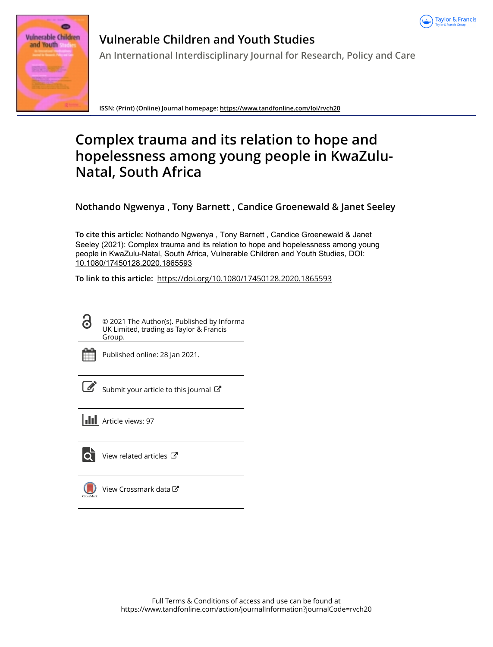



# **Vulnerable Children and Youth Studies An International Interdisciplinary Journal for Research, Policy and Care**

**ISSN: (Print) (Online) Journal homepage:<https://www.tandfonline.com/loi/rvch20>**

# **Complex trauma and its relation to hope and hopelessness among young people in KwaZulu-Natal, South Africa**

**Nothando Ngwenya , Tony Barnett , Candice Groenewald & Janet Seeley**

**To cite this article:** Nothando Ngwenya , Tony Barnett , Candice Groenewald & Janet Seeley (2021): Complex trauma and its relation to hope and hopelessness among young people in KwaZulu-Natal, South Africa, Vulnerable Children and Youth Studies, DOI: [10.1080/17450128.2020.1865593](https://www.tandfonline.com/action/showCitFormats?doi=10.1080/17450128.2020.1865593)

**To link to this article:** <https://doi.org/10.1080/17450128.2020.1865593>

ര

© 2021 The Author(s). Published by Informa UK Limited, trading as Taylor & Francis Group.



Published online: 28 Jan 2021.

[Submit your article to this journal](https://www.tandfonline.com/action/authorSubmission?journalCode=rvch20&show=instructions)  $\mathbb{Z}$ 

**III** Article views: 97



[View related articles](https://www.tandfonline.com/doi/mlt/10.1080/17450128.2020.1865593) C



[View Crossmark data](http://crossmark.crossref.org/dialog/?doi=10.1080/17450128.2020.1865593&domain=pdf&date_stamp=2021-01-28)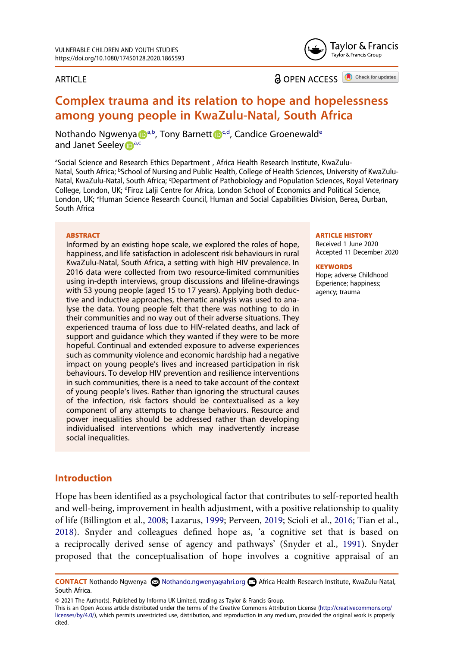#### ARTICLE

Tavlor & Francis Taylor & Francis Group

**a** OPEN ACCESS **a** Check for updates

## **Complex trauma and its relation to hope and hopelessness among young people in KwaZulu-Natal, South Africa**

Noth[a](#page-1-0)ndo Ngw[e](#page-1-4)nya **D**<sup>a,b</sup>, Tony Barnett D<sup>[c](#page-1-2),d</sup>, Candice Groenewald<sup>e</sup> [a](#page-1-0)nd Janet Seeley Da[,c](#page-1-2)

<span id="page-1-4"></span><span id="page-1-3"></span><span id="page-1-2"></span><span id="page-1-1"></span><span id="page-1-0"></span>aSocial Science and Research Ethics Department, Africa Health Research Institute, KwaZulu-Natal, South Africa; <sup>b</sup>School of Nursing and Public Health, College of Health Sciences, University of KwaZulu-Natal, KwaZulu-Natal, South Africa; 'Department of Pathobiology and Population Sciences, Royal Veterinary College, London, UK; <sup>d</sup>Firoz Lalji Centre for Africa, London School of Economics and Political Science, London, UK; <sup>e</sup>Human Science Research Council, Human and Social Capabilities Division, Berea, Durban, South Africa

#### **ABSTRACT**

Informed by an existing hope scale, we explored the roles of hope, happiness, and life satisfaction in adolescent risk behaviours in rural KwaZulu-Natal, South Africa, a setting with high HIV prevalence. In 2016 data were collected from two resource-limited communities using in-depth interviews, group discussions and lifeline-drawings with 53 young people (aged 15 to 17 years). Applying both deductive and inductive approaches, thematic analysis was used to analyse the data. Young people felt that there was nothing to do in their communities and no way out of their adverse situations. They experienced trauma of loss due to HIV-related deaths, and lack of support and guidance which they wanted if they were to be more hopeful. Continual and extended exposure to adverse experiences such as community violence and economic hardship had a negative impact on young people's lives and increased participation in risk behaviours. To develop HIV prevention and resilience interventions in such communities, there is a need to take account of the context of young people's lives. Rather than ignoring the structural causes of the infection, risk factors should be contextualised as a key component of any attempts to change behaviours. Resource and power inequalities should be addressed rather than developing individualised interventions which may inadvertently increase social inequalities.

#### **ARTICLE HISTORY**

Received 1 June 2020 Accepted 11 December 2020

#### **KEYWORDS**

Hope; adverse Childhood Experience; happiness; agency; trauma

#### **Introduction**

<span id="page-1-5"></span>Hope has been identified as a psychological factor that contributes to self-reported health and well-being, improvement in health adjustment, with a positive relationship to quality of life (Billington et al., [2008](#page-10-0); Lazarus, [1999](#page-11-0); Perveen, [2019](#page-12-0); Scioli et al., [2016](#page-12-1); Tian et al., [2018](#page-12-2)). Snyder and colleagues defined hope as, 'a cognitive set that is based on a reciprocally derived sense of agency and pathways' (Snyder et al., [1991\)](#page-12-3). Snyder proposed that the conceptualisation of hope involves a cognitive appraisal of an

<span id="page-1-6"></span>CONTACT Nothando Ngwenya **©** Nothando.ngwenya@ahri.org **□** Africa Health Research Institute, KwaZulu-Natal, South Africa.

<sup>© 2021</sup> The Author(s). Published by Informa UK Limited, trading as Taylor & Francis Group.

This is an Open Access article distributed under the terms of the Creative Commons Attribution License (http://creativecommons.org/ licenses/by/4.0/), which permits unrestricted use, distribution, and reproduction in any medium, provided the original work is properly cited.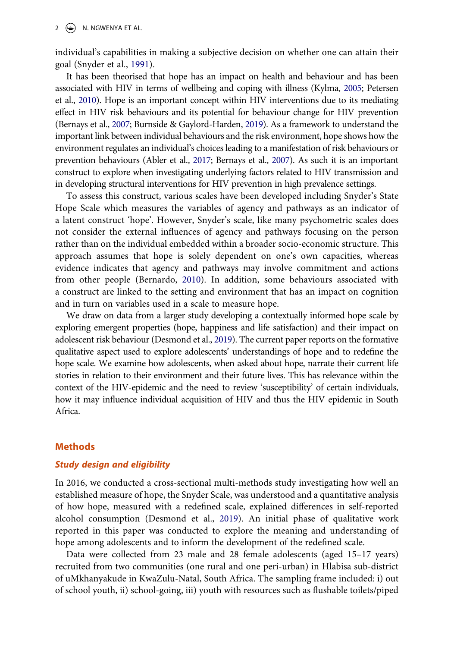individual's capabilities in making a subjective decision on whether one can attain their goal (Snyder et al., [1991](#page-12-3)).

<span id="page-2-5"></span><span id="page-2-4"></span><span id="page-2-2"></span>It has been theorised that hope has an impact on health and behaviour and has been associated with HIV in terms of wellbeing and coping with illness (Kylma, [2005;](#page-11-1) Petersen et al., [2010](#page-12-4)). Hope is an important concept within HIV interventions due to its mediating effect in HIV risk behaviours and its potential for behaviour change for HIV prevention (Bernays et al., [2007;](#page-10-1) Burnside & Gaylord-Harden, [2019\)](#page-11-2). As a framework to understand the important link between individual behaviours and the risk environment, hope shows how the environment regulates an individual's choices leading to a manifestation of risk behaviours or prevention behaviours (Abler et al., [2017](#page-10-2); Bernays et al., [2007\)](#page-10-1). As such it is an important construct to explore when investigating underlying factors related to HIV transmission and in developing structural interventions for HIV prevention in high prevalence settings.

<span id="page-2-0"></span>To assess this construct, various scales have been developed including Snyder's State Hope Scale which measures the variables of agency and pathways as an indicator of a latent construct 'hope'. However, Snyder's scale, like many psychometric scales does not consider the external influences of agency and pathways focusing on the person rather than on the individual embedded within a broader socio-economic structure. This approach assumes that hope is solely dependent on one's own capacities, whereas evidence indicates that agency and pathways may involve commitment and actions from other people (Bernardo, [2010](#page-10-3)). In addition, some behaviours associated with a construct are linked to the setting and environment that has an impact on cognition and in turn on variables used in a scale to measure hope.

<span id="page-2-1"></span>We draw on data from a larger study developing a contextually informed hope scale by exploring emergent properties (hope, happiness and life satisfaction) and their impact on adolescent risk behaviour (Desmond et al., [2019](#page-11-3)). The current paper reports on the formative qualitative aspect used to explore adolescents' understandings of hope and to redefine the hope scale. We examine how adolescents, when asked about hope, narrate their current life stories in relation to their environment and their future lives. This has relevance within the context of the HIV-epidemic and the need to review 'susceptibility' of certain individuals, how it may influence individual acquisition of HIV and thus the HIV epidemic in South Africa.

#### **Methods**

### *Study design and eligibility*

<span id="page-2-3"></span>In 2016, we conducted a cross-sectional multi-methods study investigating how well an established measure of hope, the Snyder Scale, was understood and a quantitative analysis of how hope, measured with a redefined scale, explained differences in self-reported alcohol consumption (Desmond et al., [2019\)](#page-11-3). An initial phase of qualitative work reported in this paper was conducted to explore the meaning and understanding of hope among adolescents and to inform the development of the redefined scale.

Data were collected from 23 male and 28 female adolescents (aged 15–17 years) recruited from two communities (one rural and one peri-urban) in Hlabisa sub-district of uMkhanyakude in KwaZulu-Natal, South Africa. The sampling frame included: i) out of school youth, ii) school-going, iii) youth with resources such as flushable toilets/piped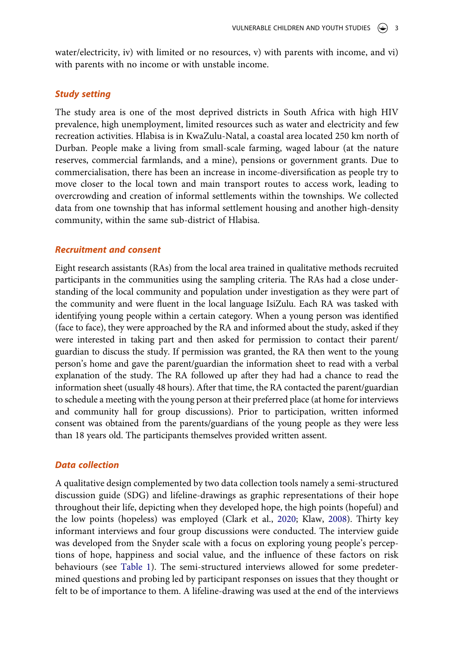water/electricity, iv) with limited or no resources, v) with parents with income, and vi) with parents with no income or with unstable income.

#### *Study setting*

The study area is one of the most deprived districts in South Africa with high HIV prevalence, high unemployment, limited resources such as water and electricity and few recreation activities. Hlabisa is in KwaZulu-Natal, a coastal area located 250 km north of Durban. People make a living from small-scale farming, waged labour (at the nature reserves, commercial farmlands, and a mine), pensions or government grants. Due to commercialisation, there has been an increase in income-diversification as people try to move closer to the local town and main transport routes to access work, leading to overcrowding and creation of informal settlements within the townships. We collected data from one township that has informal settlement housing and another high-density community, within the same sub-district of Hlabisa.

#### *Recruitment and consent*

Eight research assistants (RAs) from the local area trained in qualitative methods recruited participants in the communities using the sampling criteria. The RAs had a close understanding of the local community and population under investigation as they were part of the community and were fluent in the local language IsiZulu. Each RA was tasked with identifying young people within a certain category. When a young person was identified (face to face), they were approached by the RA and informed about the study, asked if they were interested in taking part and then asked for permission to contact their parent/ guardian to discuss the study. If permission was granted, the RA then went to the young person's home and gave the parent/guardian the information sheet to read with a verbal explanation of the study. The RA followed up after they had had a chance to read the information sheet (usually 48 hours). After that time, the RA contacted the parent/guardian to schedule a meeting with the young person at their preferred place (at home for interviews and community hall for group discussions). Prior to participation, written informed consent was obtained from the parents/guardians of the young people as they were less than 18 years old. The participants themselves provided written assent.

#### *Data collection*

<span id="page-3-0"></span>A qualitative design complemented by two data collection tools namely a semi-structured discussion guide (SDG) and lifeline-drawings as graphic representations of their hope throughout their life, depicting when they developed hope, the high points (hopeful) and the low points (hopeless) was employed (Clark et al., [2020;](#page-11-4) Klaw, [2008\)](#page-11-5). Thirty key informant interviews and four group discussions were conducted. The interview guide was developed from the Snyder scale with a focus on exploring young people's perceptions of hope, happiness and social value, and the influence of these factors on risk behaviours (see [Table 1](#page-4-0)). The semi-structured interviews allowed for some predetermined questions and probing led by participant responses on issues that they thought or felt to be of importance to them. A lifeline-drawing was used at the end of the interviews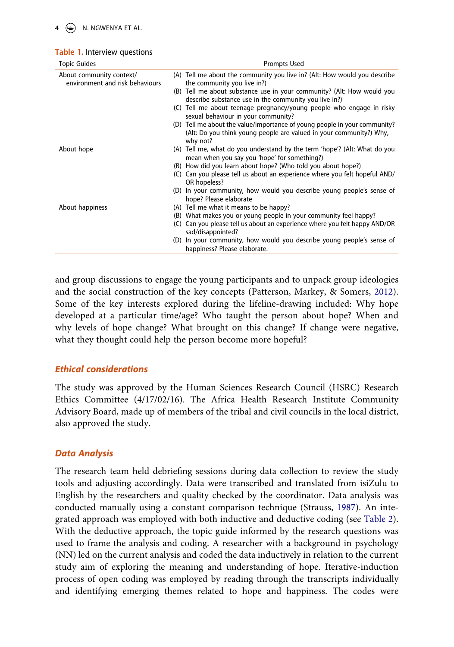$4 \quad \circledast$  N. NGWENYA ET AL.

<span id="page-4-0"></span>

|  |  |  | <b>Table 1.</b> Interview questions |
|--|--|--|-------------------------------------|
|--|--|--|-------------------------------------|

| <b>Topic Guides</b>                                         | Prompts Used                                                                                                                                                 |  |  |
|-------------------------------------------------------------|--------------------------------------------------------------------------------------------------------------------------------------------------------------|--|--|
| About community context/<br>environment and risk behaviours | (A) Tell me about the community you live in? (Alt: How would you describe<br>the community you live in?)                                                     |  |  |
|                                                             | (B) Tell me about substance use in your community? (Alt: How would you<br>describe substance use in the community you live in?)                              |  |  |
|                                                             | (C) Tell me about teenage pregnancy/young people who engage in risky<br>sexual behaviour in your community?                                                  |  |  |
|                                                             | (D) Tell me about the value/importance of young people in your community?<br>(Alt: Do you think young people are valued in your community?) Why,<br>why not? |  |  |
| About hope                                                  | (A) Tell me, what do you understand by the term 'hope'? (Alt: What do you<br>mean when you say you 'hope' for something?)                                    |  |  |
|                                                             | (B) How did you learn about hope? (Who told you about hope?)                                                                                                 |  |  |
|                                                             | Can you please tell us about an experience where you felt hopeful AND/<br>(C)<br>OR hopeless?                                                                |  |  |
|                                                             | (D) In your community, how would you describe young people's sense of<br>hope? Please elaborate                                                              |  |  |
| About happiness                                             | (A) Tell me what it means to be happy?                                                                                                                       |  |  |
|                                                             | What makes you or young people in your community feel happy?<br>(B)                                                                                          |  |  |
|                                                             | Can you please tell us about an experience where you felt happy AND/OR<br>(C)<br>sad/disappointed?                                                           |  |  |
|                                                             | (D) In your community, how would you describe young people's sense of<br>happiness? Please elaborate.                                                        |  |  |

<span id="page-4-1"></span>and group discussions to engage the young participants and to unpack group ideologies and the social construction of the key concepts (Patterson, Markey, & Somers, [2012](#page-12-5)). Some of the key interests explored during the lifeline-drawing included: Why hope developed at a particular time/age? Who taught the person about hope? When and why levels of hope change? What brought on this change? If change were negative, what they thought could help the person become more hopeful?

#### *Ethical considerations*

The study was approved by the Human Sciences Research Council (HSRC) Research Ethics Committee (4/17/02/16). The Africa Health Research Institute Community Advisory Board, made up of members of the tribal and civil councils in the local district, also approved the study.

#### *Data Analysis*

<span id="page-4-2"></span>The research team held debriefing sessions during data collection to review the study tools and adjusting accordingly. Data were transcribed and translated from isiZulu to English by the researchers and quality checked by the coordinator. Data analysis was conducted manually using a constant comparison technique (Strauss, [1987](#page-12-6)). An integrated approach was employed with both inductive and deductive coding (see [Table 2](#page-5-0)). With the deductive approach, the topic guide informed by the research questions was used to frame the analysis and coding. A researcher with a background in psychology (NN) led on the current analysis and coded the data inductively in relation to the current study aim of exploring the meaning and understanding of hope. Iterative-induction process of open coding was employed by reading through the transcripts individually and identifying emerging themes related to hope and happiness. The codes were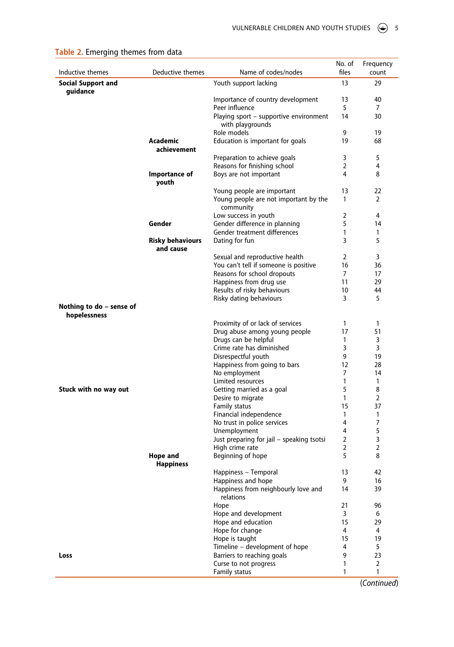| Inductive themes                         | Deductive themes              | Name of codes/nodes                                       | No. of<br>files     | Frequency<br>count |
|------------------------------------------|-------------------------------|-----------------------------------------------------------|---------------------|--------------------|
| <b>Social Support and</b>                |                               | Youth support lacking                                     | 13                  | 29                 |
| quidance                                 |                               | Importance of country development                         | 13                  | 40                 |
|                                          |                               | Peer influence                                            | 5                   | 7                  |
|                                          |                               | Playing sport - supportive environment                    | 14                  | 30                 |
|                                          |                               | with playgrounds                                          |                     |                    |
|                                          |                               | Role models                                               | 9                   | 19                 |
|                                          | Academic                      | Education is important for goals                          | 19                  | 68                 |
|                                          | achievement                   |                                                           |                     |                    |
|                                          |                               | Preparation to achieve goals                              | 3<br>$\overline{2}$ | 5                  |
|                                          | Importance of                 | Reasons for finishing school<br>Boys are not important    | 4                   | 4<br>8             |
|                                          | youth                         |                                                           |                     |                    |
|                                          |                               | Young people are important                                | 13                  | 22                 |
|                                          |                               | Young people are not important by the<br>community        | 1                   | 2                  |
|                                          |                               | Low success in youth                                      | 2                   | 4                  |
|                                          | Gender                        | Gender difference in planning                             | 5                   | 14                 |
|                                          |                               | Gender treatment differences                              | 1                   | 1                  |
|                                          | Risky behaviours<br>and cause | Dating for fun                                            | 3                   | 5                  |
|                                          |                               | Sexual and reproductive health                            | 2                   | 3                  |
|                                          |                               | You can't tell if someone is positive                     | 16                  | 36                 |
|                                          |                               | Reasons for school dropouts                               | 7                   | 17                 |
|                                          |                               | Happiness from drug use                                   | 11                  | 29                 |
|                                          |                               | Results of risky behaviours                               | 10                  | 44                 |
|                                          |                               | Risky dating behaviours                                   | 3                   | 5                  |
| Nothing to do – sense of<br>hopelessness |                               |                                                           |                     |                    |
|                                          |                               | Proximity of or lack of services                          | $\mathbf{1}$        | 1                  |
|                                          |                               | Drug abuse among young people                             | 17                  | 51                 |
|                                          |                               | Drugs can be helpful                                      | 1                   | 3                  |
|                                          |                               | Crime rate has diminished<br>Disrespectful youth          | 3<br>9              | 3<br>19            |
|                                          |                               | Happiness from going to bars                              | 12                  | 28                 |
|                                          |                               | No employment                                             | 7                   | 14                 |
|                                          |                               | Limited resources                                         | 1                   | 1                  |
| Stuck with no way out                    |                               | Getting married as a goal                                 | 5                   | 8                  |
|                                          |                               | Desire to migrate                                         | 1                   | 2                  |
|                                          |                               | Family status                                             | 15                  | 37                 |
|                                          |                               | Financial independence                                    | 1                   | 1                  |
|                                          |                               | No trust in police services                               | 4                   | 7                  |
|                                          |                               | Unemployment<br>Just preparing for jail - speaking tsotsi | 4<br>2              | 5<br>3             |
|                                          |                               | High crime rate                                           | 2                   | 2                  |
|                                          | Hope and                      | Beginning of hope                                         | 5                   | 8                  |
|                                          | <b>Happiness</b>              |                                                           |                     |                    |
|                                          |                               | Happiness - Temporal                                      | 13                  | 42                 |
|                                          |                               | Happiness and hope                                        | 9                   | 16                 |
|                                          |                               | Happiness from neighbourly love and<br>relations          | 14                  | 39                 |
|                                          |                               | Hope                                                      | 21                  | 96                 |
|                                          |                               | Hope and development                                      | 3                   | 6                  |
|                                          |                               | Hope and education<br>Hope for change                     | 15<br>4             | 29<br>4            |
|                                          |                               | Hope is taught                                            | 15                  | 19                 |
|                                          |                               | Timeline - development of hope                            | 4                   | 5                  |
| Loss                                     |                               | Barriers to reaching goals                                | 9                   | 23                 |
|                                          |                               | Curse to not progress                                     | 1                   | 2                  |
|                                          |                               | Family status                                             | 1                   | 1                  |

## <span id="page-5-0"></span>**Table 2.** Emerging themes from data

(*Continued*)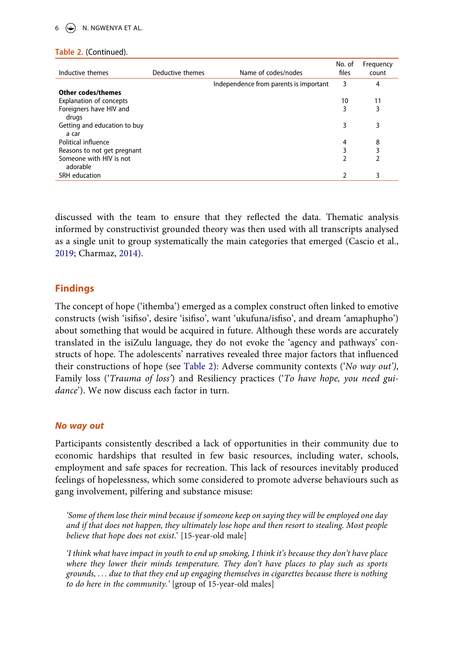## $6 \quad \circledast$  N. NGWENYA ET AL.

|  | Table 2. (Continued). |
|--|-----------------------|
|--|-----------------------|

| Inductive themes               | Deductive themes | Name of codes/nodes                    | No. of<br>files | Frequency<br>count |
|--------------------------------|------------------|----------------------------------------|-----------------|--------------------|
|                                |                  | Independence from parents is important | 3               | 4                  |
| <b>Other codes/themes</b>      |                  |                                        |                 |                    |
| <b>Explanation of concepts</b> |                  |                                        | 10              | 11                 |
| Foreigners have HIV and        |                  |                                        | 3               | 3                  |
| drugs                          |                  |                                        |                 |                    |
| Getting and education to buy   |                  |                                        | 3               | 3                  |
| a car                          |                  |                                        |                 |                    |
| Political influence            |                  |                                        | 4               | 8                  |
| Reasons to not get pregnant    |                  |                                        | 3               | 3                  |
| Someone with HIV is not        |                  |                                        |                 | 2                  |
| adorable                       |                  |                                        |                 |                    |
| SRH education                  |                  |                                        |                 | 3                  |

<span id="page-6-1"></span><span id="page-6-0"></span>discussed with the team to ensure that they reflected the data. Thematic analysis informed by constructivist grounded theory was then used with all transcripts analysed as a single unit to group systematically the main categories that emerged (Cascio et al., [2019](#page-11-6); Charmaz, [2014\)](#page-11-7).

## **Findings**

The concept of hope ('ithemba') emerged as a complex construct often linked to emotive constructs (wish 'isifiso', desire 'isifiso', want 'ukufuna/isfiso', and dream 'amaphupho') about something that would be acquired in future. Although these words are accurately translated in the isiZulu language, they do not evoke the 'agency and pathways' constructs of hope. The adolescents' narratives revealed three major factors that influenced their constructions of hope (see [Table 2\)](#page-5-0): Adverse community contexts ('*No way out')*, Family loss ('*Trauma of loss'*) and Resiliency practices ('*To have hope, you need guidance*'). We now discuss each factor in turn.

#### *No way out*

Participants consistently described a lack of opportunities in their community due to economic hardships that resulted in few basic resources, including water, schools, employment and safe spaces for recreation. This lack of resources inevitably produced feelings of hopelessness, which some considered to promote adverse behaviours such as gang involvement, pilfering and substance misuse:

*'Some of them lose their mind because if someone keep on saying they will be employed one day and if that does not happen, they ultimately lose hope and then resort to stealing. Most people believe that hope does not exist*.' [15-year-old male]

*'I think what have impact in youth to end up smoking, I think it's because they don't have place where they lower their minds temperature. They don't have places to play such as sports grounds, . . . due to that they end up engaging themselves in cigarettes because there is nothing to do here in the community.'* [group of 15-year-old males]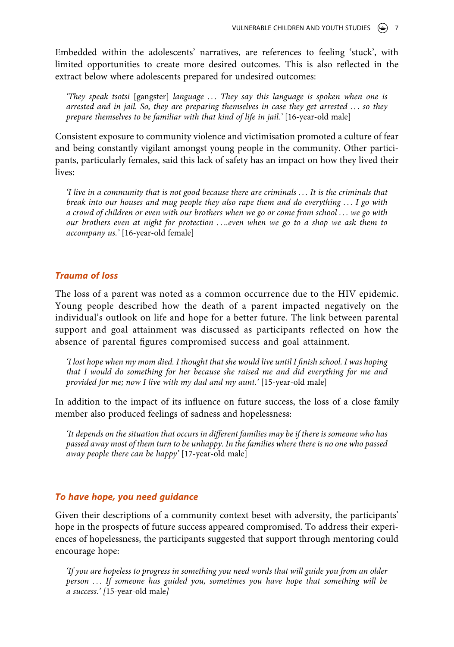Embedded within the adolescents' narratives, are references to feeling 'stuck', with limited opportunities to create more desired outcomes. This is also reflected in the extract below where adolescents prepared for undesired outcomes:

*'They speak tsotsi* [gangster] *language . . . They say this language is spoken when one is arrested and in jail. So, they are preparing themselves in case they get arrested . . . so they prepare themselves to be familiar with that kind of life in jail.'* [16-year-old male]

Consistent exposure to community violence and victimisation promoted a culture of fear and being constantly vigilant amongst young people in the community. Other participants, particularly females, said this lack of safety has an impact on how they lived their lives:

*'I live in a community that is not good because there are criminals . . . It is the criminals that break into our houses and mug people they also rape them and do everything . . . I go with a crowd of children or even with our brothers when we go or come from school . . . we go with our brothers even at night for protection . . ..even when we go to a shop we ask them to accompany us.'* [16-year-old female]

## *Trauma of loss*

The loss of a parent was noted as a common occurrence due to the HIV epidemic. Young people described how the death of a parent impacted negatively on the individual's outlook on life and hope for a better future. The link between parental support and goal attainment was discussed as participants reflected on how the absence of parental figures compromised success and goal attainment.

*'I lost hope when my mom died. I thought that she would live until I finish school. I was hoping that I would do something for her because she raised me and did everything for me and provided for me; now I live with my dad and my aunt.'* [15-year-old male]

In addition to the impact of its influence on future success, the loss of a close family member also produced feelings of sadness and hopelessness:

*'It depends on the situation that occurs in different families may be if there is someone who has passed away most of them turn to be unhappy. In the families where there is no one who passed away people there can be happy'* [17-year-old male]

#### *To have hope, you need guidance*

Given their descriptions of a community context beset with adversity, the participants' hope in the prospects of future success appeared compromised. To address their experiences of hopelessness, the participants suggested that support through mentoring could encourage hope:

*'If you are hopeless to progress in something you need words that will guide you from an older person . . . If someone has guided you, sometimes you have hope that something will be a success.' [*15-year-old male*]*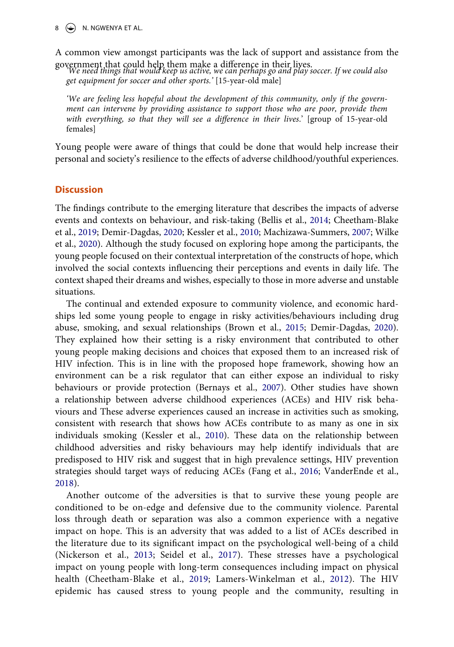$\circ$  N. NGWENYA ET AL.

A common view amongst participants was the lack of support and assistance from the

government that could help them make a difference in their lives. *'We need things that would keep us active, we can perhaps go and play soccer. If we could also get equipment for soccer and other sports.'* [15-year-old male]

*'We are feeling less hopeful about the development of this community, only if the government can intervene by providing assistance to support those who are poor, provide them with everything, so that they will see a difference in their lives*.' [group of 15-year-old females]

Young people were aware of things that could be done that would help increase their personal and society's resilience to the effects of adverse childhood/youthful experiences.

#### **Discussion**

<span id="page-8-7"></span><span id="page-8-3"></span><span id="page-8-0"></span>The findings contribute to the emerging literature that describes the impacts of adverse events and contexts on behaviour, and risk-taking (Bellis et al., [2014;](#page-10-4) Cheetham-Blake et al., [2019](#page-11-8); Demir-Dagdas, [2020;](#page-11-9) Kessler et al., [2010](#page-11-10); Machizawa-Summers, [2007;](#page-11-11) Wilke et al., [2020\)](#page-12-7). Although the study focused on exploring hope among the participants, the young people focused on their contextual interpretation of the constructs of hope, which involved the social contexts influencing their perceptions and events in daily life. The context shaped their dreams and wishes, especially to those in more adverse and unstable situations.

<span id="page-8-1"></span>The continual and extended exposure to community violence, and economic hardships led some young people to engage in risky activities/behaviours including drug abuse, smoking, and sexual relationships (Brown et al., [2015](#page-10-5); Demir-Dagdas, [2020](#page-11-9)). They explained how their setting is a risky environment that contributed to other young people making decisions and choices that exposed them to an increased risk of HIV infection. This is in line with the proposed hope framework, showing how an environment can be a risk regulator that can either expose an individual to risky behaviours or provide protection (Bernays et al., [2007](#page-10-1)). Other studies have shown a relationship between adverse childhood experiences (ACEs) and HIV risk behaviours and These adverse experiences caused an increase in activities such as smoking, consistent with research that shows how ACEs contribute to as many as one in six individuals smoking (Kessler et al., [2010](#page-11-10)). These data on the relationship between childhood adversities and risky behaviours may help identify individuals that are predisposed to HIV risk and suggest that in high prevalence settings, HIV prevention strategies should target ways of reducing ACEs (Fang et al., [2016;](#page-11-12) VanderEnde et al., [2018](#page-12-8)).

<span id="page-8-6"></span><span id="page-8-5"></span><span id="page-8-4"></span><span id="page-8-2"></span>Another outcome of the adversities is that to survive these young people are conditioned to be on-edge and defensive due to the community violence. Parental loss through death or separation was also a common experience with a negative impact on hope. This is an adversity that was added to a list of ACEs described in the literature due to its significant impact on the psychological well-being of a child (Nickerson et al., [2013](#page-11-13); Seidel et al., [2017\)](#page-12-9). These stresses have a psychological impact on young people with long-term consequences including impact on physical health (Cheetham-Blake et al., [2019](#page-11-14); Lamers-Winkelman et al., [2012](#page-11-15)). The HIV epidemic has caused stress to young people and the community, resulting in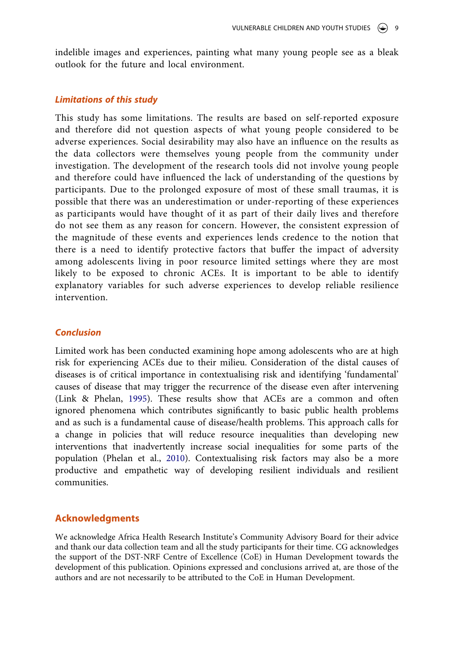indelible images and experiences, painting what many young people see as a bleak outlook for the future and local environment.

#### *Limitations of this study*

This study has some limitations. The results are based on self-reported exposure and therefore did not question aspects of what young people considered to be adverse experiences. Social desirability may also have an influence on the results as the data collectors were themselves young people from the community under investigation. The development of the research tools did not involve young people and therefore could have influenced the lack of understanding of the questions by participants. Due to the prolonged exposure of most of these small traumas, it is possible that there was an underestimation or under-reporting of these experiences as participants would have thought of it as part of their daily lives and therefore do not see them as any reason for concern. However, the consistent expression of the magnitude of these events and experiences lends credence to the notion that there is a need to identify protective factors that buffer the impact of adversity among adolescents living in poor resource limited settings where they are most likely to be exposed to chronic ACEs. It is important to be able to identify explanatory variables for such adverse experiences to develop reliable resilience intervention.

### *Conclusion*

<span id="page-9-0"></span>Limited work has been conducted examining hope among adolescents who are at high risk for experiencing ACEs due to their milieu. Consideration of the distal causes of diseases is of critical importance in contextualising risk and identifying 'fundamental' causes of disease that may trigger the recurrence of the disease even after intervening (Link & Phelan, [1995\)](#page-11-16). These results show that ACEs are a common and often ignored phenomena which contributes significantly to basic public health problems and as such is a fundamental cause of disease/health problems. This approach calls for a change in policies that will reduce resource inequalities than developing new interventions that inadvertently increase social inequalities for some parts of the population (Phelan et al., [2010\)](#page-12-10). Contextualising risk factors may also be a more productive and empathetic way of developing resilient individuals and resilient communities.

## <span id="page-9-1"></span>**Acknowledgments**

We acknowledge Africa Health Research Institute's Community Advisory Board for their advice and thank our data collection team and all the study participants for their time. CG acknowledges the support of the DST-NRF Centre of Excellence (CoE) in Human Development towards the development of this publication. Opinions expressed and conclusions arrived at, are those of the authors and are not necessarily to be attributed to the CoE in Human Development.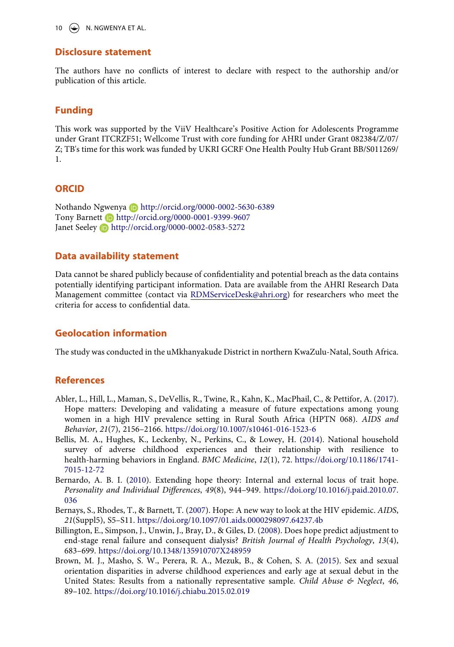10  $\left(\frac{1}{2}\right)$  N. NGWENYA ET AL.

#### **Disclosure statement**

The authors have no conflicts of interest to declare with respect to the authorship and/or publication of this article.

## **Funding**

This work was supported by the ViiV Healthcare's Positive Action for Adolescents Programme under Grant ITCRZF51; Wellcome Trust with core funding for AHRI under Grant 082384/Z/07/ Z; TB's time for this work was funded by UKRI GCRF One Health Poulty Hub Grant BB/S011269/ 1.

#### **ORCID**

Nothando Ngwenya http://orcid.org/0000-0002-5630-6389 Tony Barnett **b** http://orcid.org/0000-0001-9399-9607 Janet Seeley **b** http://orcid.org/0000-0002-0583-5272

## **Data availability statement**

Data cannot be shared publicly because of confidentiality and potential breach as the data contains potentially identifying participant information. Data are available from the AHRI Research Data Management committee (contact via [RDMServiceDesk@ahri.org](http://RDMServiceDesk@ahri.org)) for researchers who meet the criteria for access to confidential data.

## **Geolocation information**

The study was conducted in the uMkhanyakude District in northern KwaZulu-Natal, South Africa.

## **References**

- <span id="page-10-2"></span>Abler, L., Hill, L., Maman, S., DeVellis, R., Twine, R., Kahn, K., MacPhail, C., & Pettifor, A. [\(2017\)](#page-2-0). Hope matters: Developing and validating a measure of future expectations among young women in a high HIV prevalence setting in Rural South Africa (HPTN 068). *AIDS and Behavior*, *21*(7), 2156–2166. <https://doi.org/10.1007/s10461-016-1523-6>
- <span id="page-10-4"></span>Bellis, M. A., Hughes, K., Leckenby, N., Perkins, C., & Lowey, H. ([2014](#page-8-0)). National household survey of adverse childhood experiences and their relationship with resilience to health-harming behaviors in England. *BMC Medicine*, *12*(1), 72. [https://doi.org/10.1186/1741-](https://doi.org/10.1186/1741-7015-12-72) [7015-12-72](https://doi.org/10.1186/1741-7015-12-72)
- <span id="page-10-3"></span>Bernardo, A. B. I. ([2010\)](#page-2-1). Extending hope theory: Internal and external locus of trait hope. *Personality and Individual Differences*, *49*(8), 944–949. [https://doi.org/10.1016/j.paid.2010.07.](https://doi.org/10.1016/j.paid.2010.07.036) [036](https://doi.org/10.1016/j.paid.2010.07.036)
- <span id="page-10-1"></span>Bernays, S., Rhodes, T., & Barnett, T. [\(2007](#page-2-0)). Hope: A new way to look at the HIV epidemic. *AIDS*, *21*(Suppl5), S5–S11. <https://doi.org/10.1097/01.aids.0000298097.64237.4b>
- <span id="page-10-0"></span>Billington, E., Simpson, J., Unwin, J., Bray, D., & Giles, D. [\(2008](#page-1-5)). Does hope predict adjustment to end-stage renal failure and consequent dialysis? *British Journal of Health Psychology*, *13*(4), 683–699. <https://doi.org/10.1348/135910707X248959>
- <span id="page-10-5"></span>Brown, M. J., Masho, S. W., Perera, R. A., Mezuk, B., & Cohen, S. A. [\(2015\)](#page-8-1). Sex and sexual orientation disparities in adverse childhood experiences and early age at sexual debut in the United States: Results from a nationally representative sample. *Child Abuse & Neglect*, *46*, 89–102. <https://doi.org/10.1016/j.chiabu.2015.02.019>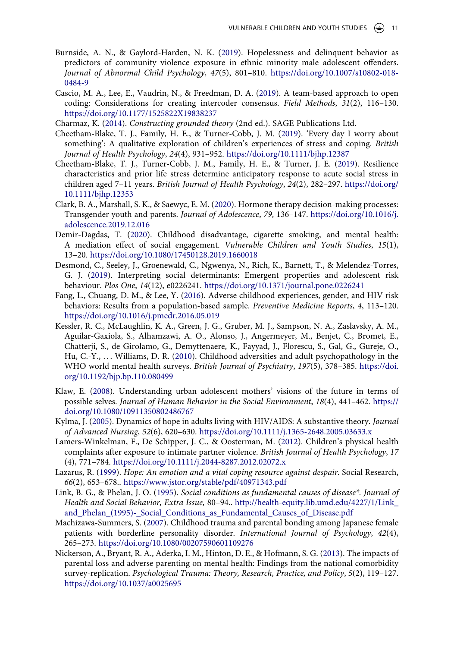- <span id="page-11-2"></span>Burnside, A. N., & Gaylord-Harden, N. K. ([2019\)](#page-2-2). Hopelessness and delinquent behavior as predictors of community violence exposure in ethnic minority male adolescent offenders. *Journal of Abnormal Child Psychology*, *47*(5), 801–810. [https://doi.org/10.1007/s10802-018-](https://doi.org/10.1007/s10802-018-0484-9) [0484-9](https://doi.org/10.1007/s10802-018-0484-9)
- <span id="page-11-6"></span>Cascio, M. A., Lee, E., Vaudrin, N., & Freedman, D. A. ([2019\)](#page-6-0). A team-based approach to open coding: Considerations for creating intercoder consensus. *Field Methods*, *31*(2), 116–130. <https://doi.org/10.1177/1525822X19838237>
- <span id="page-11-7"></span>Charmaz, K. [\(2014\)](#page-6-1). *Constructing grounded theory* (2nd ed.). SAGE Publications Ltd.
- <span id="page-11-14"></span>Cheetham-Blake, T. J., Family, H. E., & Turner-Cobb, J. M. ([2019\)](#page-8-2). 'Every day I worry about something': A qualitative exploration of children's experiences of stress and coping. *British Journal of Health Psychology*, *24*(4), 931–952. <https://doi.org/10.1111/bjhp.12387>
- <span id="page-11-8"></span>Cheetham-Blake, T. J., Turner-Cobb, J. M., Family, H. E., & Turner, J. E. [\(2019](#page-8-3)). Resilience characteristics and prior life stress determine anticipatory response to acute social stress in children aged 7–11 years. *British Journal of Health Psychology*, *24*(2), 282–297. [https://doi.org/](https://doi.org/10.1111/bjhp.12353) [10.1111/bjhp.12353](https://doi.org/10.1111/bjhp.12353)
- <span id="page-11-4"></span>Clark, B. A., Marshall, S. K., & Saewyc, E. M. [\(2020](#page-3-0)). Hormone therapy decision-making processes: Transgender youth and parents. *Journal of Adolescence*, *79*, 136–147. [https://doi.org/10.1016/j.](https://doi.org/10.1016/j.adolescence.2019.12.016) [adolescence.2019.12.016](https://doi.org/10.1016/j.adolescence.2019.12.016)
- <span id="page-11-9"></span>Demir-Dagdas, T. ([2020\)](#page-8-1). Childhood disadvantage, cigarette smoking, and mental health: A mediation effect of social engagement. *Vulnerable Children and Youth Studies*, *15*(1), 13–20. <https://doi.org/10.1080/17450128.2019.1660018>
- <span id="page-11-3"></span>Desmond, C., Seeley, J., Groenewald, C., Ngwenya, N., Rich, K., Barnett, T., & Melendez-Torres, G. J. ([2019\)](#page-2-3). Interpreting social determinants: Emergent properties and adolescent risk behaviour. *Plos One*, *14*(12), e0226241. <https://doi.org/10.1371/journal.pone.0226241>
- <span id="page-11-12"></span>Fang, L., Chuang, D. M., & Lee, Y. ([2016](#page-8-4)). Adverse childhood experiences, gender, and HIV risk behaviors: Results from a population-based sample. *Preventive Medicine Reports*, *4*, 113–120. <https://doi.org/10.1016/j.pmedr.2016.05.019>
- <span id="page-11-10"></span>Kessler, R. C., McLaughlin, K. A., Green, J. G., Gruber, M. J., Sampson, N. A., Zaslavsky, A. M., Aguilar-Gaxiola, S., Alhamzawi, A. O., Alonso, J., Angermeyer, M., Benjet, C., Bromet, E., Chatterji, S., de Girolamo, G., Demyttenaere, K., Fayyad, J., Florescu, S., Gal, G., Gureje, O., Hu, C.-Y., . . . Williams, D. R. [\(2010\)](#page-8-5). Childhood adversities and adult psychopathology in the WHO world mental health surveys. *British Journal of Psychiatry*, *197*(5), 378–385. [https://doi.](https://doi.org/10.1192/bjp.bp.110.080499) [org/10.1192/bjp.bp.110.080499](https://doi.org/10.1192/bjp.bp.110.080499)
- <span id="page-11-5"></span>Klaw, E. [\(2008](#page-3-0)). Understanding urban adolescent mothers' visions of the future in terms of possible selves. *Journal of Human Behavior in the Social Environment*, *18*(4), 441–462. [https://](https://doi.org/10.1080/10911350802486767) [doi.org/10.1080/10911350802486767](https://doi.org/10.1080/10911350802486767)
- <span id="page-11-1"></span>Kylma, J. [\(2005](#page-2-4)). Dynamics of hope in adults living with HIV/AIDS: A substantive theory. *Journal of Advanced Nursing*, *52*(6), 620–630. <https://doi.org/10.1111/j.1365-2648.2005.03633.x>
- <span id="page-11-15"></span>Lamers-Winkelman, F., De Schipper, J. C., & Oosterman, M. ([2012\)](#page-8-2). Children's physical health complaints after exposure to intimate partner violence. *British Journal of Health Psychology*, *17*  (4), 771–784. <https://doi.org/10.1111/j.2044-8287.2012.02072.x>
- <span id="page-11-0"></span>Lazarus, R. [\(1999](#page-1-5)). *Hope: An emotion and a vital coping resource against despair*. Social Research, *66*(2), 653–678.. <https://www.jstor.org/stable/pdf/40971343.pdf>
- <span id="page-11-16"></span>Link, B. G., & Phelan, J. O. [\(1995\)](#page-9-0). *Social conditions as fundamental causes of disease\*. Journal of Health and Social Behavior, Extra Issue,* 80–94.. [http://health-equity.lib.umd.edu/4227/1/Link\\_](http://health-equity.lib.umd.edu/4227/1/Link_and_Phelan_(1995)-_Social_Conditions_as_Fundamental_Causes_of_Disease.pdf) and Phelan (1995)- Social Conditions as Fundamental Causes of Disease.pdf
- <span id="page-11-11"></span>Machizawa-Summers, S. [\(2007\)](#page-8-3). Childhood trauma and parental bonding among Japanese female patients with borderline personality disorder. *International Journal of Psychology*, *42*(4), 265–273. <https://doi.org/10.1080/00207590601109276>
- <span id="page-11-13"></span>Nickerson, A., Bryant, R. A., Aderka, I. M., Hinton, D. E., & Hofmann, S. G. [\(2013](#page-8-6)). The impacts of parental loss and adverse parenting on mental health: Findings from the national comorbidity survey-replication. *Psychological Trauma: Theory, Research, Practice, and Policy*, *5*(2), 119–127. <https://doi.org/10.1037/a0025695>